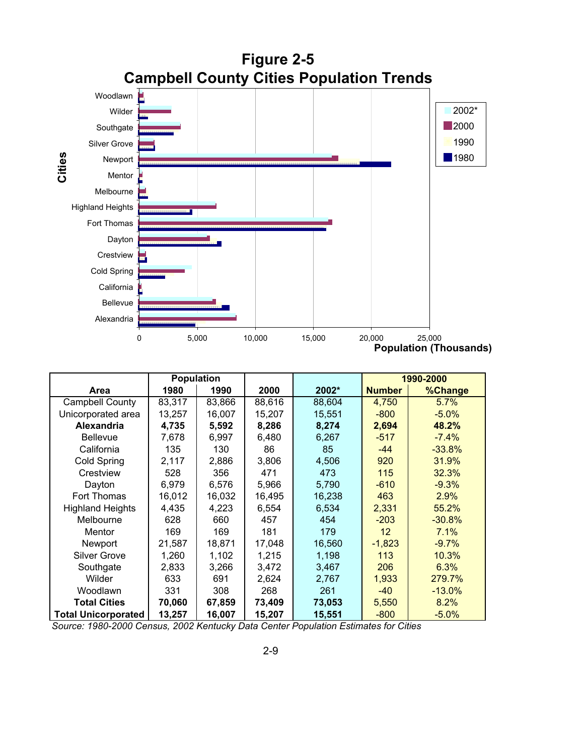

|                            | <b>Population</b> |        |        |        | 1990-2000     |           |
|----------------------------|-------------------|--------|--------|--------|---------------|-----------|
| Area                       | 1980              | 1990   | 2000   | 2002*  | <b>Number</b> | %Change   |
| <b>Campbell County</b>     | 83,317            | 83,866 | 88,616 | 88,604 | 4,750         | 5.7%      |
| Unicorporated area         | 13,257            | 16,007 | 15,207 | 15,551 | $-800$        | $-5.0\%$  |
| Alexandria                 | 4,735             | 5,592  | 8,286  | 8,274  | 2,694         | 48.2%     |
| Bellevue                   | 7,678             | 6,997  | 6,480  | 6,267  | $-517$        | $-7.4%$   |
| California                 | 135               | 130    | 86     | 85     | $-44$         | $-33.8%$  |
| Cold Spring                | 2,117             | 2,886  | 3,806  | 4,506  | 920           | 31.9%     |
| Crestview                  | 528               | 356    | 471    | 473    | 115           | 32.3%     |
| Dayton                     | 6,979             | 6,576  | 5,966  | 5,790  | $-610$        | $-9.3%$   |
| Fort Thomas                | 16,012            | 16,032 | 16,495 | 16,238 | 463           | 2.9%      |
| <b>Highland Heights</b>    | 4,435             | 4,223  | 6,554  | 6,534  | 2,331         | 55.2%     |
| Melbourne                  | 628               | 660    | 457    | 454    | $-203$        | $-30.8%$  |
| Mentor                     | 169               | 169    | 181    | 179    | 12            | 7.1%      |
| Newport                    | 21,587            | 18,871 | 17,048 | 16,560 | $-1,823$      | $-9.7\%$  |
| <b>Silver Grove</b>        | 1,260             | 1,102  | 1,215  | 1,198  | 113           | 10.3%     |
| Southgate                  | 2,833             | 3,266  | 3,472  | 3,467  | 206           | 6.3%      |
| Wilder                     | 633               | 691    | 2,624  | 2,767  | 1,933         | 279.7%    |
| Woodlawn                   | 331               | 308    | 268    | 261    | $-40$         | $-13.0\%$ |
| <b>Total Cities</b>        | 70,060            | 67,859 | 73,409 | 73,053 | 5,550         | 8.2%      |
| <b>Total Unicorporated</b> | 13,257            | 16,007 | 15,207 | 15,551 | $-800$        | $-5.0%$   |

*Source: 1980-2000 Census, 2002 Kentucky Data Center Population Estimates for Cities*